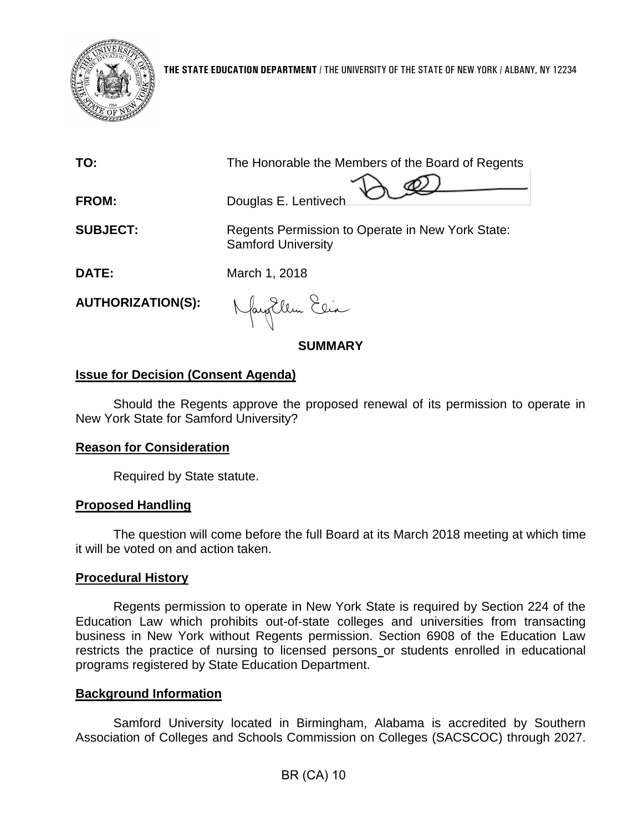

**TO:** The Honorable the Members of the Board of Regents

**FROM:** Douglas E. Lentivech

**SUBJECT:** Regents Permission to Operate in New York State: Samford University

**DATE:** March 1, 2018

**AUTHORIZATION(S):**

Naytlem Elia

**SUMMARY**

# **Issue for Decision (Consent Agenda)**

Should the Regents approve the proposed renewal of its permission to operate in New York State for Samford University?

## **Reason for Consideration**

Required by State statute.

## **Proposed Handling**

The question will come before the full Board at its March 2018 meeting at which time it will be voted on and action taken.

## **Procedural History**

Regents permission to operate in New York State is required by Section 224 of the Education Law which prohibits out-of-state colleges and universities from transacting business in New York without Regents permission. Section 6908 of the Education Law restricts the practice of nursing to licensed persons or students enrolled in educational programs registered by State Education Department.

## **Background Information**

Samford University located in Birmingham, Alabama is accredited by Southern Association of Colleges and Schools Commission on Colleges (SACSCOC) through 2027.